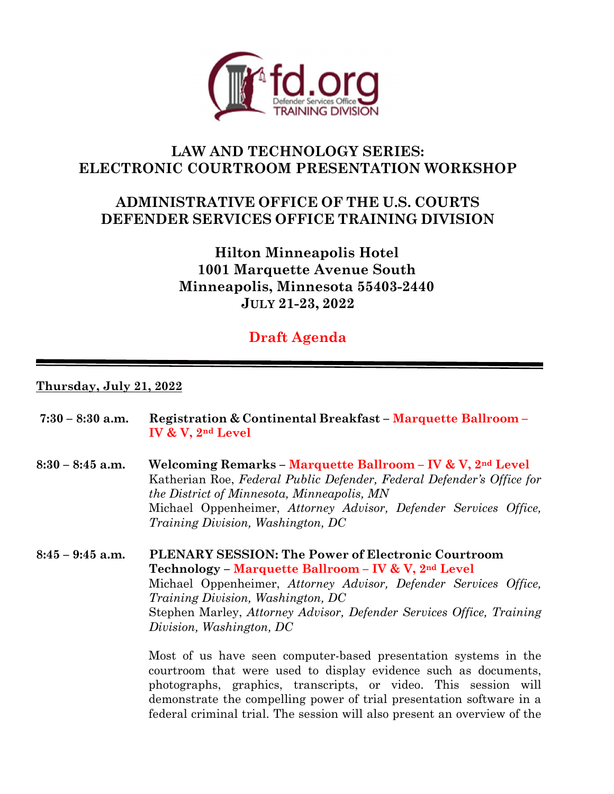

## **LAW AND TECHNOLOGY SERIES: ELECTRONIC COURTROOM PRESENTATION WORKSHOP**

## **ADMINISTRATIVE OFFICE OF THE U.S. COURTS DEFENDER SERVICES OFFICE TRAINING DIVISION**

**Hilton Minneapolis Hotel 1001 Marquette Avenue South Minneapolis, Minnesota 55403-2440 JULY 21-23, 2022** 

# **Draft Agenda**

## **Thursday, July 21, 2022**

| $7:30 - 8:30$ a.m. | <b>Registration &amp; Continental Breakfast – Marquette Ballroom –</b><br>IV & V, $2nd$ Level                                                                                                                                                                                                                                                                                                                |
|--------------------|--------------------------------------------------------------------------------------------------------------------------------------------------------------------------------------------------------------------------------------------------------------------------------------------------------------------------------------------------------------------------------------------------------------|
| $8:30 - 8:45$ a.m. | Welcoming Remarks - Marquette Ballroom - IV & V, 2nd Level<br>Katherian Roe, Federal Public Defender, Federal Defender's Office for<br>the District of Minnesota, Minneapolis, MN<br>Michael Oppenheimer, Attorney Advisor, Defender Services Office,<br><i>Training Division, Washington, DC</i>                                                                                                            |
| $8:45 - 9:45$ a.m. | PLENARY SESSION: The Power of Electronic Courtroom<br>Technology – Marquette Ballroom – IV & V, 2 <sup>nd</sup> Level<br>Michael Oppenheimer, Attorney Advisor, Defender Services Office,<br><i>Training Division, Washington, DC</i><br>Stephen Marley, Attorney Advisor, Defender Services Office, Training<br>Division, Washington, DC<br>Most of us have seen computer-based presentation systems in the |

courtroom that were used to display evidence such as documents, photographs, graphics, transcripts, or video. This session will demonstrate the compelling power of trial presentation software in a federal criminal trial. The session will also present an overview of the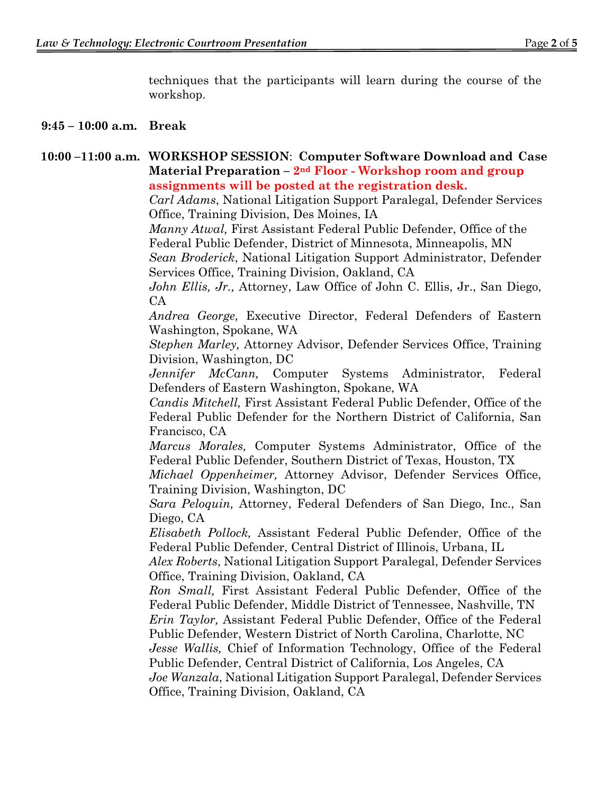techniques that the participants will learn during the course of the workshop.

## **9:45 – 10:00 a.m. Break**

## **10:00 –11:00 a.m. WORKSHOP SESSION**: **Computer Software Download and Case Material Preparation – 2nd Floor - Workshop room and group assignments will be posted at the registration desk.**

*Carl Adams*, National Litigation Support Paralegal, Defender Services Office, Training Division, Des Moines, IA

 *Manny Atwal,* First Assistant Federal Public Defender, Office of the Federal Public Defender, District of Minnesota, Minneapolis, MN

*Sean Broderick*, National Litigation Support Administrator, Defender Services Office, Training Division, Oakland, CA

*John Ellis, Jr.,* Attorney, Law Office of John C. Ellis, Jr., San Diego, CA

*Andrea George,* Executive Director, Federal Defenders of Eastern Washington, Spokane, WA

*Stephen Marley,* Attorney Advisor, Defender Services Office, Training Division, Washington, DC

*Jennifer McCann,* Computer Systems Administrator, Federal Defenders of Eastern Washington, Spokane, WA

*Candis Mitchell,* First Assistant Federal Public Defender, Office of the Federal Public Defender for the Northern District of California, San Francisco, CA

*Marcus Morales,* Computer Systems Administrator, Office of the Federal Public Defender, Southern District of Texas, Houston, TX

*Michael Oppenheimer,* Attorney Advisor, Defender Services Office, Training Division, Washington, DC

*Sara Peloquin,* Attorney, Federal Defenders of San Diego, Inc., San Diego, CA

*Elisabeth Pollock,* Assistant Federal Public Defender, Office of the Federal Public Defender, Central District of Illinois, Urbana, IL

*Alex Roberts*, National Litigation Support Paralegal, Defender Services Office, Training Division, Oakland, CA

*Ron Small,* First Assistant Federal Public Defender, Office of the Federal Public Defender, Middle District of Tennessee, Nashville, TN

*Erin Taylor,* Assistant Federal Public Defender, Office of the Federal Public Defender, Western District of North Carolina, Charlotte, NC

*Jesse Wallis,* Chief of Information Technology, Office of the Federal Public Defender, Central District of California, Los Angeles, CA

*Joe Wanzala*, National Litigation Support Paralegal, Defender Services Office, Training Division, Oakland, CA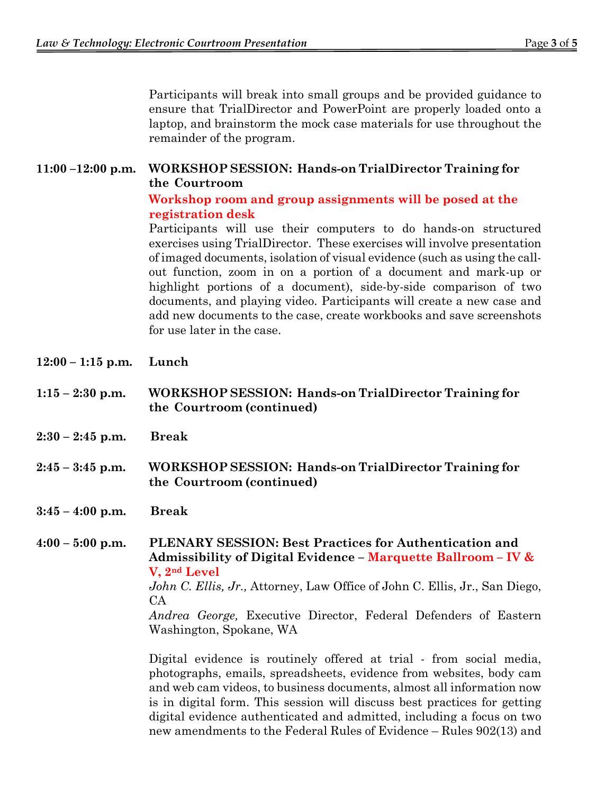Participants will break into small groups and be provided guidance to ensure that TrialDirector and PowerPoint are properly loaded onto a laptop, and brainstorm the mock case materials for use throughout the remainder of the program.

## **11:00 –12:00 p.m. WORKSHOP SESSION: Hands-on TrialDirector Training for the Courtroom**

## **Workshop room and group assignments will be posed at the registration desk**

Participants will use their computers to do hands-on structured exercises using TrialDirector. These exercises will involve presentation of imaged documents, isolation of visual evidence (such as using the callout function, zoom in on a portion of a document and mark-up or highlight portions of a document), side-by-side comparison of two documents, and playing video. Participants will create a new case and add new documents to the case, create workbooks and save screenshots for use later in the case.

- **12:00 1:15 p.m. Lunch**
- **1:15 2:30 p.m. WORKSHOP SESSION: Hands-on TrialDirector Training for the Courtroom (continued)**
- **2:30 2:45 p.m. Break**
- **2:45 3:45 p.m. WORKSHOP SESSION: Hands-on TrialDirector Training for the Courtroom (continued)**
- **3:45 4:00 p.m. Break**

**4:00 – 5:00 p.m. PLENARY SESSION: Best Practices for Authentication and Admissibility of Digital Evidence – Marquette Ballroom – IV & V, 2nd Level** 

*John C. Ellis, Jr.,* Attorney, Law Office of John C. Ellis, Jr., San Diego, CA

*Andrea George,* Executive Director, Federal Defenders of Eastern Washington, Spokane, WA

Digital evidence is routinely offered at trial - from social media, photographs, emails, spreadsheets, evidence from websites, body cam and web cam videos, to business documents, almost all information now is in digital form. This session will discuss best practices for getting digital evidence authenticated and admitted, including a focus on two new amendments to the Federal Rules of Evidence – Rules 902(13) and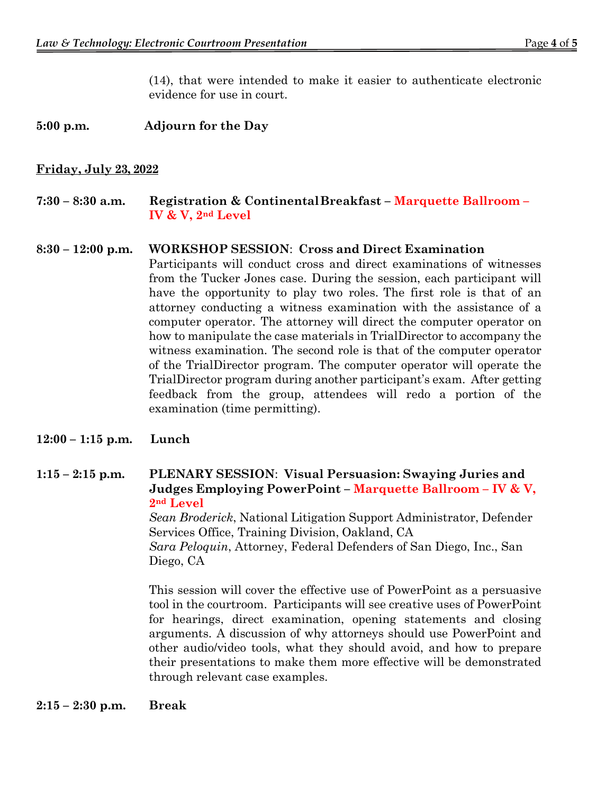(14), that were intended to make it easier to authenticate electronic evidence for use in court.

## **5:00 p.m. Adjourn for the Day**

#### **Friday, July 23, 2022**

#### **7:30 – 8:30 a.m. Registration & Continental Breakfast – Marquette Ballroom – IV & V, 2nd Level**

#### **8:30 – 12:00 p.m. WORKSHOP SESSION**: **Cross and Direct Examination**

Participants will conduct cross and direct examinations of witnesses from the Tucker Jones case. During the session, each participant will have the opportunity to play two roles. The first role is that of an attorney conducting a witness examination with the assistance of a computer operator. The attorney will direct the computer operator on how to manipulate the case materials in TrialDirector to accompany the witness examination. The second role is that of the computer operator of the TrialDirector program. The computer operator will operate the TrialDirector program during another participant's exam. After getting feedback from the group, attendees will redo a portion of the examination (time permitting).

#### **12:00 – 1:15 p.m. Lunch**

## **1:15 – 2:15 p.m. PLENARY SESSION**: **Visual Persuasion: Swaying Juries and Judges Employing PowerPoint – Marquette Ballroom – IV & V, 2nd Level**

*Sean Broderick*, National Litigation Support Administrator, Defender Services Office, Training Division, Oakland, CA *Sara Peloquin*, Attorney, Federal Defenders of San Diego, Inc., San Diego, CA

This session will cover the effective use of PowerPoint as a persuasive tool in the courtroom. Participants will see creative uses of PowerPoint for hearings, direct examination, opening statements and closing arguments. A discussion of why attorneys should use PowerPoint and other audio/video tools, what they should avoid, and how to prepare their presentations to make them more effective will be demonstrated through relevant case examples.

**2:15 – 2:30 p.m. Break**